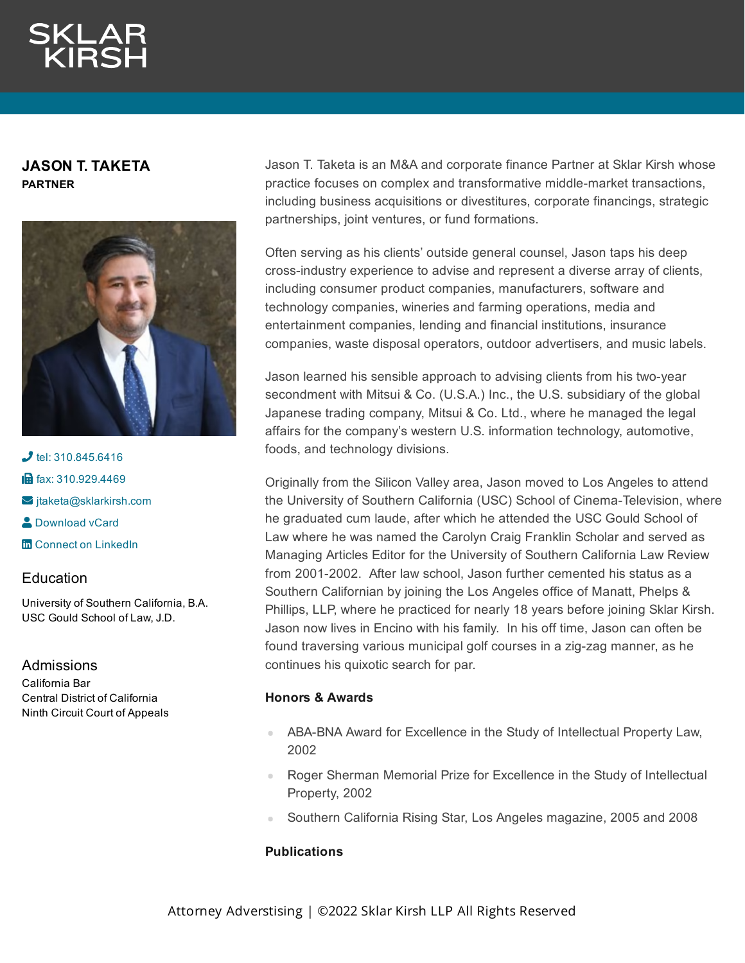## **JASON T. TAKETA PARTNER**



 $J$  tel: [310.845.6416](tel:310.845.6416) **in** fax: [310.929.4469](fax:310.929.4469)  $\blacktriangleright$  [jtaketa@sklarkirsh.com](mailto:jtaketa@sklarkirsh.com) **2** [Download](https://www.sklarkirsh.com/api/vcard?firstName=Jason&middleName=T.&lastName=Taketa%20&email=jtaketa@sklarkirsh.com&position=PARTNER&company=Sklar%20Kirsh%20LLP&phone=310.845.6416&fax=310.929.4469&address1=1880%20Century%20Park%20East,%20Ste%20300&city=Los%20Angeles&state=CA&zip=90067&country=US&image=https%253A%252F%252Fres.cloudinary.com%252Fsklar-kirsh-main%252Fimages%252F%252Ff_auto%252Cq_auto%252Fv1644341039%252FJTaketa2-e1602184233767_48363103b%252FJTaketa2-e1602184233767_48363103b.jpg%253F_i%253DAA&) vCard **th** Connect on [LinkedIn](https://www.linkedin.com/in/jason-taketa-66794174/)

# Education

University of Southern California, B.A. USC Gould School of Law, J.D.

# Admissions

California Bar Central District of California Ninth Circuit Court of Appeals Jason T. Taketa is an M&A and corporate finance Partner at Sklar Kirsh whose practice focuses on complex and transformative middle-market transactions, including business acquisitions or divestitures, corporate financings, strategic partnerships, joint ventures, or fund formations.

Often serving as his clients' outside general counsel, Jason taps his deep cross-industry experience to advise and represent a diverse array of clients, including consumer product companies, manufacturers, software and technology companies, wineries and farming operations, media and entertainment companies, lending and financial institutions, insurance companies, waste disposal operators, outdoor advertisers, and music labels.

Jason learned his sensible approach to advising clients from his two-year secondment with Mitsui & Co. (U.S.A.) Inc., the U.S. subsidiary of the global Japanese trading company, Mitsui & Co. Ltd., where he managed the legal affairs for the company's western U.S. information technology, automotive, foods, and technology divisions.

Originally from the Silicon Valley area, Jason moved to Los Angeles to attend the University of Southern California (USC) School of Cinema-Television, where he graduated cum laude, after which he attended the USC Gould School of Law where he was named the Carolyn Craig Franklin Scholar and served as Managing Articles Editor for the University of Southern California Law Review from 2001-2002. After law school, Jason further cemented his status as a Southern Californian by joining the Los Angeles office of Manatt, Phelps & Phillips, LLP, where he practiced for nearly 18 years before joining Sklar Kirsh. Jason now lives in Encino with his family. In his off time, Jason can often be found traversing various municipal golf courses in a zig-zag manner, as he continues his quixotic search for par.

## **Honors & Awards**

- ABA-BNA Award for Excellence in the Study of Intellectual Property Law, 2002
- **Roger Sherman Memorial Prize for Excellence in the Study of Intellectual** Property, 2002
- Southern California Rising Star, Los Angeles magazine, 2005 and 2008

## **Publications**